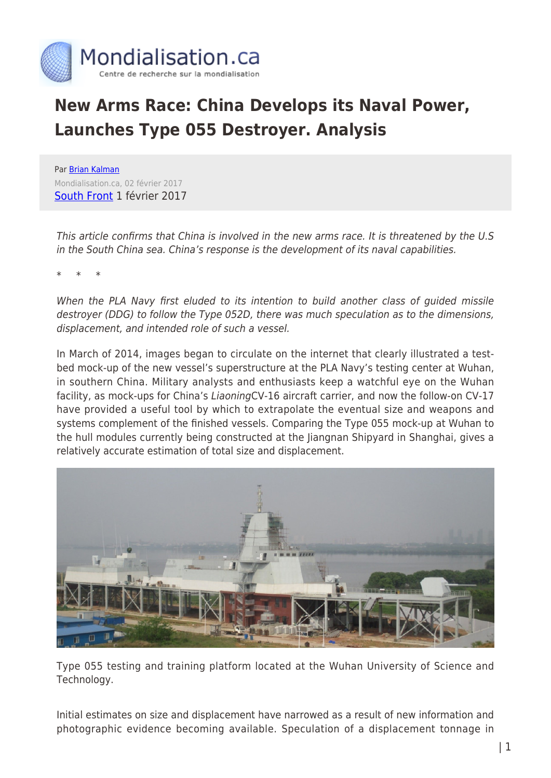

# **New Arms Race: China Develops its Naval Power, Launches Type 055 Destroyer. Analysis**

Par [Brian Kalman](https://www.mondialisation.ca/author/brian-kalman) Mondialisation.ca, 02 février 2017 [South Front](https://southfront.org/chinas-type-055-destroyer-from-blueprint-to-reality/) 1 février 2017

This article confirms that China is involved in the new arms race. It is threatened by the U.S in the South China sea. China's response is the development of its naval capabilities.

\* \* \*

When the PLA Navy first eluded to its intention to build another class of guided missile destroyer (DDG) to follow the Type 052D, there was much speculation as to the dimensions, displacement, and intended role of such a vessel.

In March of 2014, images began to circulate on the internet that clearly illustrated a testbed mock-up of the new vessel's superstructure at the PLA Navy's testing center at Wuhan, in southern China. Military analysts and enthusiasts keep a watchful eye on the Wuhan facility, as mock-ups for China's LiaoningCV-16 aircraft carrier, and now the follow-on CV-17 have provided a useful tool by which to extrapolate the eventual size and weapons and systems complement of the finished vessels. Comparing the Type 055 mock-up at Wuhan to the hull modules currently being constructed at the Jiangnan Shipyard in Shanghai, gives a relatively accurate estimation of total size and displacement.



Type 055 testing and training platform located at the Wuhan University of Science and Technology.

Initial estimates on size and displacement have narrowed as a result of new information and photographic evidence becoming available. Speculation of a displacement tonnage in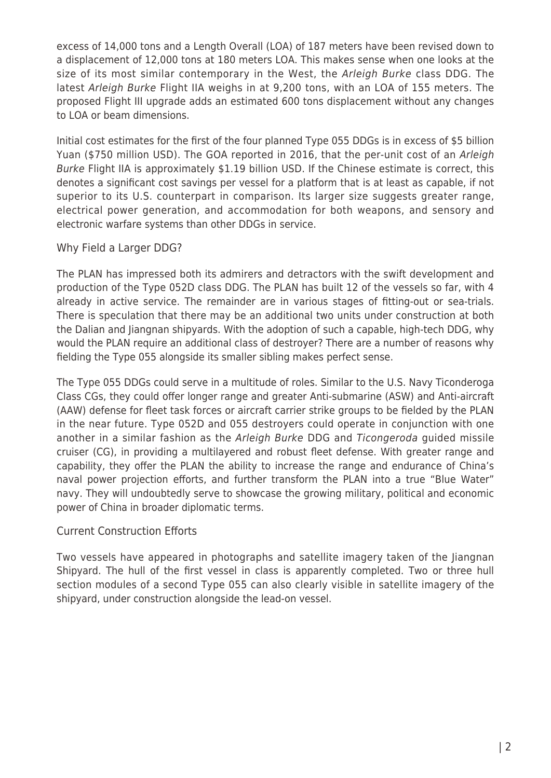excess of 14,000 tons and a Length Overall (LOA) of 187 meters have been revised down to a displacement of 12,000 tons at 180 meters LOA. This makes sense when one looks at the size of its most similar contemporary in the West, the Arleigh Burke class DDG. The latest Arleigh Burke Flight IIA weighs in at 9,200 tons, with an LOA of 155 meters. The proposed Flight III upgrade adds an estimated 600 tons displacement without any changes to LOA or beam dimensions.

Initial cost estimates for the first of the four planned Type 055 DDGs is in excess of \$5 billion Yuan (\$750 million USD). The GOA reported in 2016, that the per-unit cost of an Arleigh Burke Flight IIA is approximately \$1.19 billion USD. If the Chinese estimate is correct, this denotes a significant cost savings per vessel for a platform that is at least as capable, if not superior to its U.S. counterpart in comparison. Its larger size suggests greater range, electrical power generation, and accommodation for both weapons, and sensory and electronic warfare systems than other DDGs in service.

## Why Field a Larger DDG?

The PLAN has impressed both its admirers and detractors with the swift development and production of the Type 052D class DDG. The PLAN has built 12 of the vessels so far, with 4 already in active service. The remainder are in various stages of fitting-out or sea-trials. There is speculation that there may be an additional two units under construction at both the Dalian and Jiangnan shipyards. With the adoption of such a capable, high-tech DDG, why would the PLAN require an additional class of destroyer? There are a number of reasons why fielding the Type 055 alongside its smaller sibling makes perfect sense.

The Type 055 DDGs could serve in a multitude of roles. Similar to the U.S. Navy Ticonderoga Class CGs, they could offer longer range and greater Anti-submarine (ASW) and Anti-aircraft (AAW) defense for fleet task forces or aircraft carrier strike groups to be fielded by the PLAN in the near future. Type 052D and 055 destroyers could operate in conjunction with one another in a similar fashion as the Arleigh Burke DDG and Ticongeroda guided missile cruiser (CG), in providing a multilayered and robust fleet defense. With greater range and capability, they offer the PLAN the ability to increase the range and endurance of China's naval power projection efforts, and further transform the PLAN into a true "Blue Water" navy. They will undoubtedly serve to showcase the growing military, political and economic power of China in broader diplomatic terms.

## Current Construction Efforts

Two vessels have appeared in photographs and satellite imagery taken of the Jiangnan Shipyard. The hull of the first vessel in class is apparently completed. Two or three hull section modules of a second Type 055 can also clearly visible in satellite imagery of the shipyard, under construction alongside the lead-on vessel.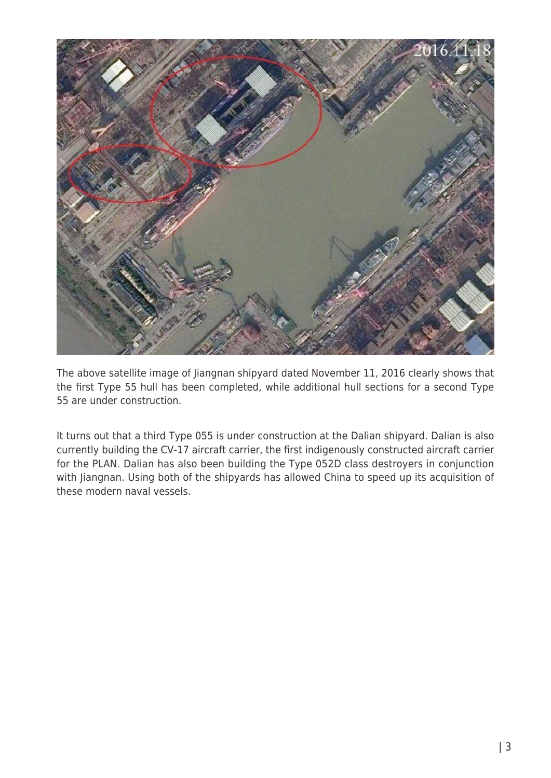

The above satellite image of Jiangnan shipyard dated November 11, 2016 clearly shows that the first Type 55 hull has been completed, while additional hull sections for a second Type 55 are under construction.

It turns out that a third Type 055 is under construction at the Dalian shipyard. Dalian is also currently building the CV-17 aircraft carrier, the first indigenously constructed aircraft carrier for the PLAN. Dalian has also been building the Type 052D class destroyers in conjunction with Jiangnan. Using both of the shipyards has allowed China to speed up its acquisition of these modern naval vessels.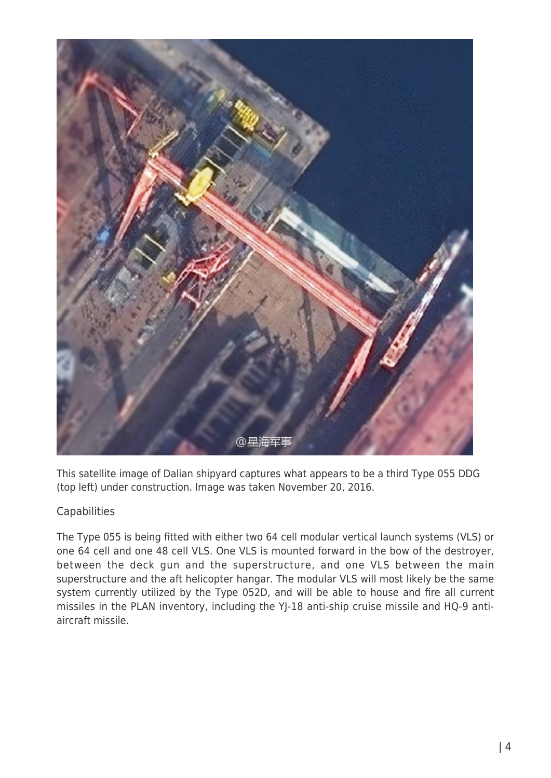

This satellite image of Dalian shipyard captures what appears to be a third Type 055 DDG (top left) under construction. Image was taken November 20, 2016.

# **Capabilities**

The Type 055 is being fitted with either two 64 cell modular vertical launch systems (VLS) or one 64 cell and one 48 cell VLS. One VLS is mounted forward in the bow of the destroyer, between the deck gun and the superstructure, and one VLS between the main superstructure and the aft helicopter hangar. The modular VLS will most likely be the same system currently utilized by the Type 052D, and will be able to house and fire all current missiles in the PLAN inventory, including the YJ-18 anti-ship cruise missile and HQ-9 antiaircraft missile.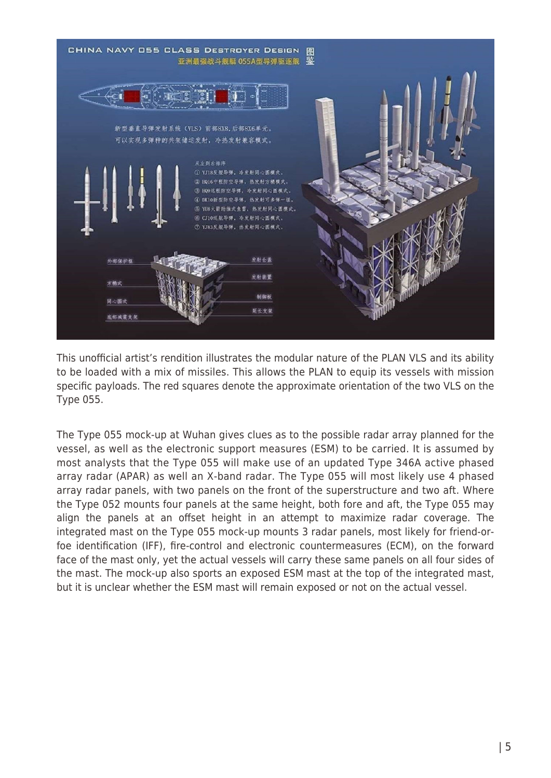

This unofficial artist's rendition illustrates the modular nature of the PLAN VLS and its ability to be loaded with a mix of missiles. This allows the PLAN to equip its vessels with mission specific payloads. The red squares denote the approximate orientation of the two VLS on the Type 055.

The Type 055 mock-up at Wuhan gives clues as to the possible radar array planned for the vessel, as well as the electronic support measures (ESM) to be carried. It is assumed by most analysts that the Type 055 will make use of an updated Type 346A active phased array radar (APAR) as well an X-band radar. The Type 055 will most likely use 4 phased array radar panels, with two panels on the front of the superstructure and two aft. Where the Type 052 mounts four panels at the same height, both fore and aft, the Type 055 may align the panels at an offset height in an attempt to maximize radar coverage. The integrated mast on the Type 055 mock-up mounts 3 radar panels, most likely for friend-orfoe identification (IFF), fire-control and electronic countermeasures (ECM), on the forward face of the mast only, yet the actual vessels will carry these same panels on all four sides of the mast. The mock-up also sports an exposed ESM mast at the top of the integrated mast, but it is unclear whether the ESM mast will remain exposed or not on the actual vessel.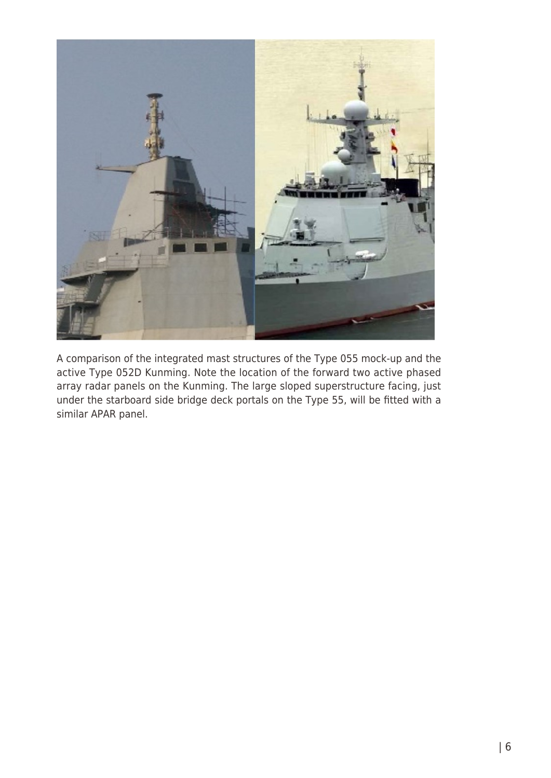

A comparison of the integrated mast structures of the Type 055 mock-up and the active Type 052D Kunming. Note the location of the forward two active phased array radar panels on the Kunming. The large sloped superstructure facing, just under the starboard side bridge deck portals on the Type 55, will be fitted with a similar APAR panel.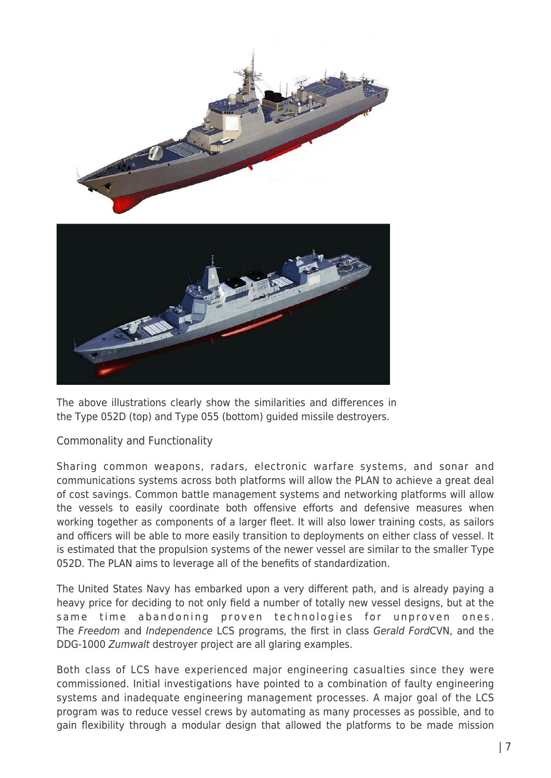

The above illustrations clearly show the similarities and differences in the Type 052D (top) and Type 055 (bottom) guided missile destroyers.

## Commonality and Functionality

Sharing common weapons, radars, electronic warfare systems, and sonar and communications systems across both platforms will allow the PLAN to achieve a great deal of cost savings. Common battle management systems and networking platforms will allow the vessels to easily coordinate both offensive efforts and defensive measures when working together as components of a larger fleet. It will also lower training costs, as sailors and officers will be able to more easily transition to deployments on either class of vessel. It is estimated that the propulsion systems of the newer vessel are similar to the smaller Type 052D. The PLAN aims to leverage all of the benefits of standardization.

The United States Navy has embarked upon a very different path, and is already paying a heavy price for deciding to not only field a number of totally new vessel designs, but at the same time abandoning proven technologies for unproven ones. The Freedom and Independence LCS programs, the first in class Gerald FordCVN, and the DDG-1000 Zumwalt destroyer project are all glaring examples.

Both class of LCS have experienced major engineering casualties since they were commissioned. Initial investigations have pointed to a combination of faulty engineering systems and inadequate engineering management processes. A major goal of the LCS program was to reduce vessel crews by automating as many processes as possible, and to gain flexibility through a modular design that allowed the platforms to be made mission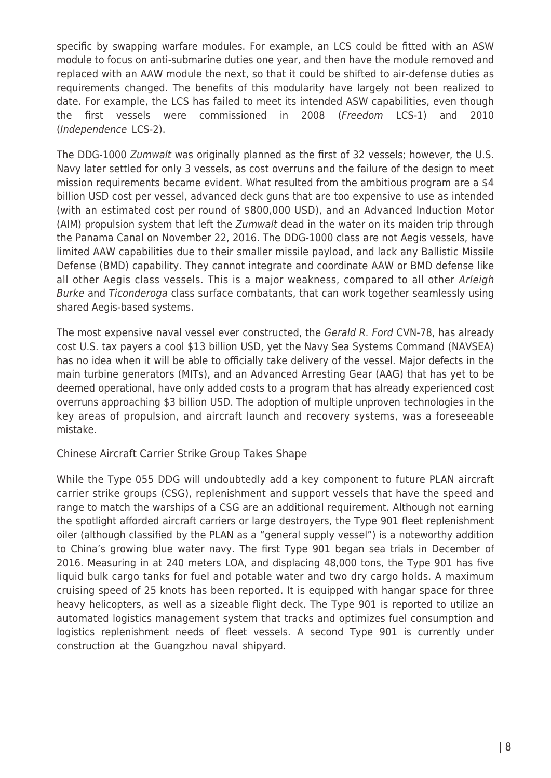specific by swapping warfare modules. For example, an LCS could be fitted with an ASW module to focus on anti-submarine duties one year, and then have the module removed and replaced with an AAW module the next, so that it could be shifted to air-defense duties as requirements changed. The benefits of this modularity have largely not been realized to date. For example, the LCS has failed to meet its intended ASW capabilities, even though the first vessels were commissioned in 2008 (Freedom LCS-1) and 2010 (Independence LCS-2).

The DDG-1000 Zumwalt was originally planned as the first of 32 vessels; however, the U.S. Navy later settled for only 3 vessels, as cost overruns and the failure of the design to meet mission requirements became evident. What resulted from the ambitious program are a \$4 billion USD cost per vessel, advanced deck guns that are too expensive to use as intended (with an estimated cost per round of \$800,000 USD), and an Advanced Induction Motor (AIM) propulsion system that left the Zumwalt dead in the water on its maiden trip through the Panama Canal on November 22, 2016. The DDG-1000 class are not Aegis vessels, have limited AAW capabilities due to their smaller missile payload, and lack any Ballistic Missile Defense (BMD) capability. They cannot integrate and coordinate AAW or BMD defense like all other Aegis class vessels. This is a major weakness, compared to all other Arleigh Burke and Ticonderoga class surface combatants, that can work together seamlessly using shared Aegis-based systems.

The most expensive naval vessel ever constructed, the Gerald R. Ford CVN-78, has already cost U.S. tax payers a cool \$13 billion USD, yet the Navy Sea Systems Command (NAVSEA) has no idea when it will be able to officially take delivery of the vessel. Major defects in the main turbine generators (MITs), and an Advanced Arresting Gear (AAG) that has yet to be deemed operational, have only added costs to a program that has already experienced cost overruns approaching \$3 billion USD. The adoption of multiple unproven technologies in the key areas of propulsion, and aircraft launch and recovery systems, was a foreseeable mistake.

## Chinese Aircraft Carrier Strike Group Takes Shape

While the Type 055 DDG will undoubtedly add a key component to future PLAN aircraft carrier strike groups (CSG), replenishment and support vessels that have the speed and range to match the warships of a CSG are an additional requirement. Although not earning the spotlight afforded aircraft carriers or large destroyers, the Type 901 fleet replenishment oiler (although classified by the PLAN as a "general supply vessel") is a noteworthy addition to China's growing blue water navy. The first Type 901 began sea trials in December of 2016. Measuring in at 240 meters LOA, and displacing 48,000 tons, the Type 901 has five liquid bulk cargo tanks for fuel and potable water and two dry cargo holds. A maximum cruising speed of 25 knots has been reported. It is equipped with hangar space for three heavy helicopters, as well as a sizeable flight deck. The Type 901 is reported to utilize an automated logistics management system that tracks and optimizes fuel consumption and logistics replenishment needs of fleet vessels. A second Type 901 is currently under construction at the Guangzhou naval shipyard.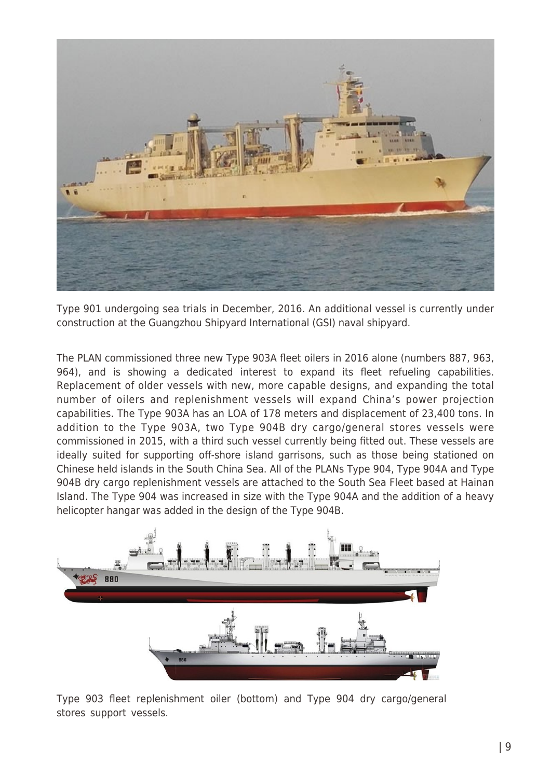

Type 901 undergoing sea trials in December, 2016. An additional vessel is currently under construction at the Guangzhou Shipyard International (GSI) naval shipyard.

The PLAN commissioned three new Type 903A fleet oilers in 2016 alone (numbers 887, 963, 964), and is showing a dedicated interest to expand its fleet refueling capabilities. Replacement of older vessels with new, more capable designs, and expanding the total number of oilers and replenishment vessels will expand China's power projection capabilities. The Type 903A has an LOA of 178 meters and displacement of 23,400 tons. In addition to the Type 903A, two Type 904B dry cargo/general stores vessels were commissioned in 2015, with a third such vessel currently being fitted out. These vessels are ideally suited for supporting off-shore island garrisons, such as those being stationed on Chinese held islands in the South China Sea. All of the PLANs Type 904, Type 904A and Type 904B dry cargo replenishment vessels are attached to the South Sea Fleet based at Hainan Island. The Type 904 was increased in size with the Type 904A and the addition of a heavy helicopter hangar was added in the design of the Type 904B.



Type 903 fleet replenishment oiler (bottom) and Type 904 dry cargo/general stores support vessels.